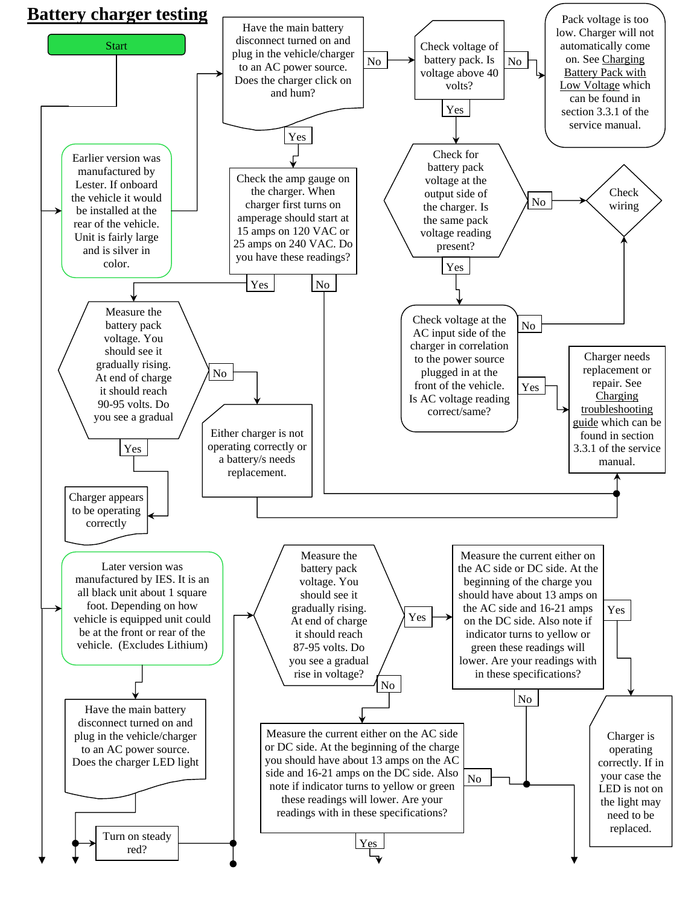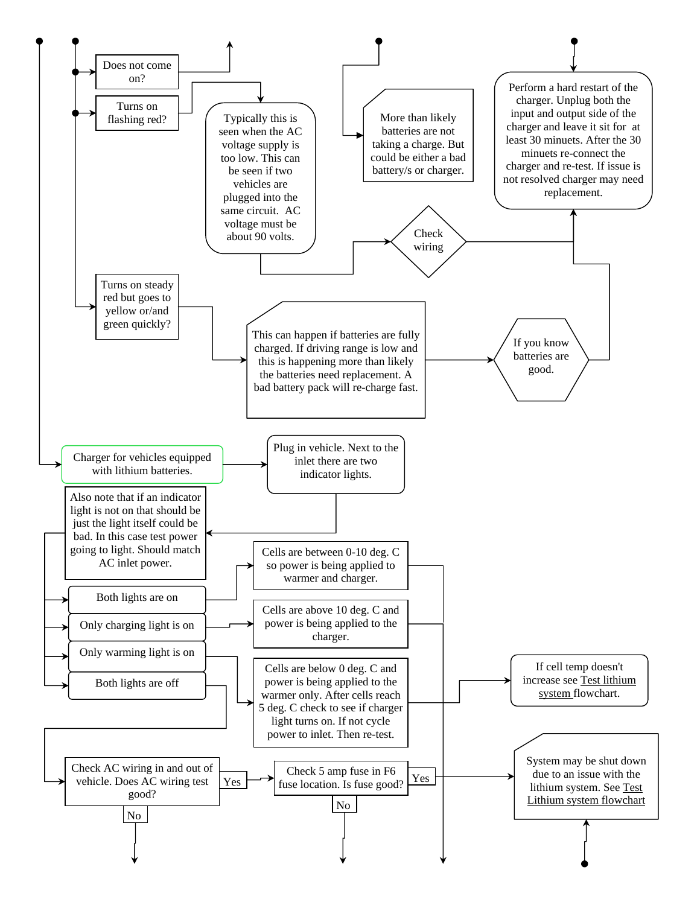